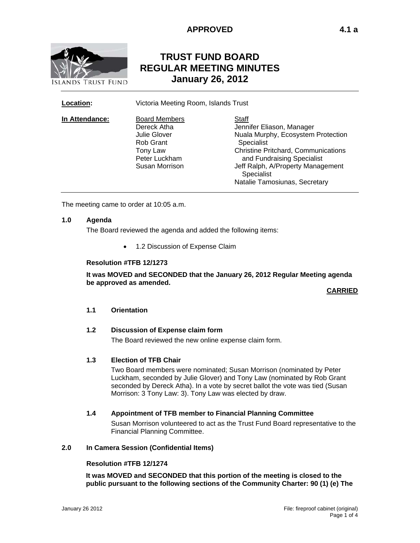

# **TRUST FUND BOARD REGULAR MEETING MINUTES January 26, 2012**

**Location:** Victoria Meeting Room, Islands Trust

| In Attendance: | <b>Board Members</b><br>Dereck Atha<br><b>Julie Glover</b> | Staff<br>Jennifer Eliason, Manager<br>Nuala Murphy, Ecosystem Protection |
|----------------|------------------------------------------------------------|--------------------------------------------------------------------------|
|                | Rob Grant<br>Tony Law                                      | Specialist<br><b>Christine Pritchard, Communications</b>                 |
|                | Peter Luckham<br>Susan Morrison                            | and Fundraising Specialist<br>Jeff Ralph, A/Property Management          |
|                |                                                            | Specialist<br>Natalie Tamosiunas, Secretary                              |

The meeting came to order at 10:05 a.m.

### **1.0 Agenda**

The Board reviewed the agenda and added the following items:

• 1.2 Discussion of Expense Claim

### **Resolution #TFB 12/1273**

**It was MOVED and SECONDED that the January 26, 2012 Regular Meeting agenda be approved as amended.** 

**CARRIED** 

# **1.1 Orientation**

### **1.2 Discussion of Expense claim form**

The Board reviewed the new online expense claim form.

### **1.3 Election of TFB Chair**

Two Board members were nominated; Susan Morrison (nominated by Peter Luckham, seconded by Julie Glover) and Tony Law (nominated by Rob Grant seconded by Dereck Atha). In a vote by secret ballot the vote was tied (Susan Morrison: 3 Tony Law: 3). Tony Law was elected by draw.

#### **1.4 Appointment of TFB member to Financial Planning Committee**

Susan Morrison volunteered to act as the Trust Fund Board representative to the Financial Planning Committee.

#### **2.0 In Camera Session (Confidential Items)**

### **Resolution #TFB 12/1274**

**It was MOVED and SECONDED that this portion of the meeting is closed to the public pursuant to the following sections of the Community Charter: 90 (1) (e) The**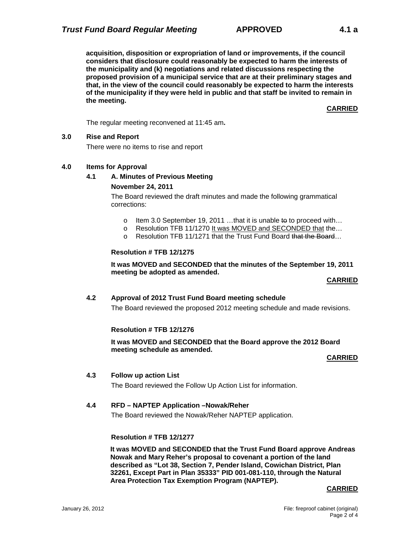**acquisition, disposition or expropriation of land or improvements, if the council considers that disclosure could reasonably be expected to harm the interests of the municipality and (k) negotiations and related discussions respecting the proposed provision of a municipal service that are at their preliminary stages and that, in the view of the council could reasonably be expected to harm the interests of the municipality if they were held in public and that staff be invited to remain in the meeting.**

# **CARRIED**

The regular meeting reconvened at 11:45 am**.** 

# **3.0 Rise and Report**

There were no items to rise and report

# **4.0 Items for Approval**

# **4.1 A. Minutes of Previous Meeting**

# **November 24, 2011**

The Board reviewed the draft minutes and made the following grammatical corrections:

- o Item 3.0 September 19, 2011 ...that it is unable to to proceed with...
- o Resolution TFB 11/1270 It was MOVED and SECONDED that the…
- o Resolution TFB 11/1271 that the Trust Fund Board that the Board...

# **Resolution # TFB 12/1275**

**It was MOVED and SECONDED that the minutes of the September 19, 2011 meeting be adopted as amended.** 

### **CARRIED**

# **4.2 Approval of 2012 Trust Fund Board meeting schedule**

The Board reviewed the proposed 2012 meeting schedule and made revisions.

### **Resolution # TFB 12/1276**

**It was MOVED and SECONDED that the Board approve the 2012 Board meeting schedule as amended.** 

# **CARRIED**

# **4.3 Follow up action List**

The Board reviewed the Follow Up Action List for information.

# **4.4 RFD – NAPTEP Application –Nowak/Reher**

The Board reviewed the Nowak/Reher NAPTEP application.

# **Resolution # TFB 12/1277**

**It was MOVED and SECONDED that the Trust Fund Board approve Andreas Nowak and Mary Reher's proposal to covenant a portion of the land described as "Lot 38, Section 7, Pender Island, Cowichan District, Plan 32261, Except Part in Plan 35333" PID 001-081-110, through the Natural Area Protection Tax Exemption Program (NAPTEP).** 

### **CARRIED**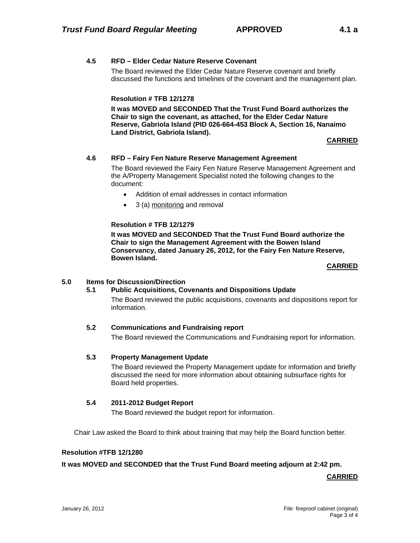# **4.5 RFD – Elder Cedar Nature Reserve Covenant**

The Board reviewed the Elder Cedar Nature Reserve covenant and briefly discussed the functions and timelines of the covenant and the management plan.

# **Resolution # TFB 12/1278**

**It was MOVED and SECONDED That the Trust Fund Board authorizes the Chair to sign the covenant, as attached, for the Elder Cedar Nature Reserve, Gabriola Island (PID 026-664-453 Block A, Section 16, Nanaimo Land District, Gabriola Island).** 

**CARRIED** 

### **4.6 RFD – Fairy Fen Nature Reserve Management Agreement**

The Board reviewed the Fairy Fen Nature Reserve Management Agreement and the A/Property Management Specialist noted the following changes to the document:

- Addition of email addresses in contact information
- 3 (a) monitoring and removal

### **Resolution # TFB 12/1279**

**It was MOVED and SECONDED That the Trust Fund Board authorize the Chair to sign the Management Agreement with the Bowen Island Conservancy, dated January 26, 2012, for the Fairy Fen Nature Reserve, Bowen Island.** 

### **CARRIED**

### **5.0 Items for Discussion/Direction**

# **5.1 Public Acquisitions, Covenants and Dispositions Update** The Board reviewed the public acquisitions, covenants and dispositions report for information.

# **5.2 Communications and Fundraising report**

The Board reviewed the Communications and Fundraising report for information.

### **5.3 Property Management Update**

The Board reviewed the Property Management update for information and briefly discussed the need for more information about obtaining subsurface rights for Board held properties.

### **5.4 2011-2012 Budget Report**

The Board reviewed the budget report for information.

Chair Law asked the Board to think about training that may help the Board function better.

# **Resolution #TFB 12/1280**

### **It was MOVED and SECONDED that the Trust Fund Board meeting adjourn at 2:42 pm.**

**CARRIED**